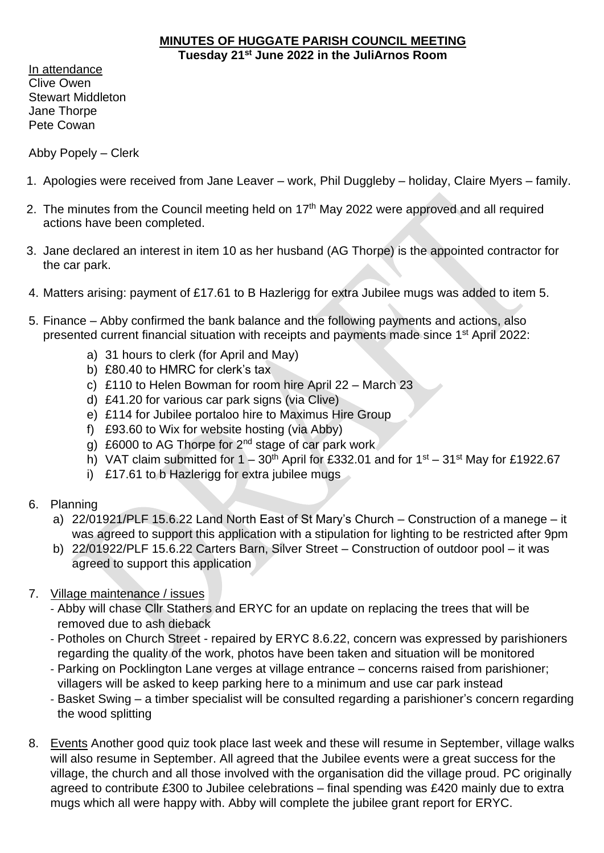## **MINUTES OF HUGGATE PARISH COUNCIL MEETING Tuesday 21st June 2022 in the JuliArnos Room**

In attendance Clive Owen Stewart Middleton Jane Thorpe Pete Cowan

Abby Popely – Clerk

- 1. Apologies were received from Jane Leaver work, Phil Duggleby holiday, Claire Myers family.
- 2. The minutes from the Council meeting held on  $17<sup>th</sup>$  May 2022 were approved and all required actions have been completed.
- 3. Jane declared an interest in item 10 as her husband (AG Thorpe) is the appointed contractor for the car park.
- 4. Matters arising: payment of £17.61 to B Hazlerigg for extra Jubilee mugs was added to item 5.
- 5. Finance Abby confirmed the bank balance and the following payments and actions, also presented current financial situation with receipts and payments made since 1<sup>st</sup> April 2022:
	- a) 31 hours to clerk (for April and May)
	- b) £80.40 to HMRC for clerk's tax
	- c) £110 to Helen Bowman for room hire April 22 March 23
	- d) £41.20 for various car park signs (via Clive)
	- e) £114 for Jubilee portaloo hire to Maximus Hire Group
	- f) £93.60 to Wix for website hosting (via Abby)
	- g) £6000 to AG Thorpe for 2nd stage of car park work
	- h) VAT claim submitted for  $1 30$ <sup>th</sup> April for £332.01 and for  $1<sup>st</sup> 31<sup>st</sup>$  May for £1922.67
	- i) £17.61 to b Hazlerigg for extra jubilee mugs
- 6. Planning
	- a) 22/01921/PLF 15.6.22 Land North East of St Mary's Church Construction of a manege it was agreed to support this application with a stipulation for lighting to be restricted after 9pm
	- b) 22/01922/PLF 15.6.22 Carters Barn, Silver Street Construction of outdoor pool it was agreed to support this application
- 7. Village maintenance / issues
	- Abby will chase Cllr Stathers and ERYC for an update on replacing the trees that will be removed due to ash dieback
	- Potholes on Church Street repaired by ERYC 8.6.22, concern was expressed by parishioners regarding the quality of the work, photos have been taken and situation will be monitored
	- Parking on Pocklington Lane verges at village entrance concerns raised from parishioner; villagers will be asked to keep parking here to a minimum and use car park instead
	- Basket Swing a timber specialist will be consulted regarding a parishioner's concern regarding the wood splitting
- 8. Events Another good quiz took place last week and these will resume in September, village walks will also resume in September. All agreed that the Jubilee events were a great success for the village, the church and all those involved with the organisation did the village proud. PC originally agreed to contribute £300 to Jubilee celebrations – final spending was £420 mainly due to extra mugs which all were happy with. Abby will complete the jubilee grant report for ERYC.